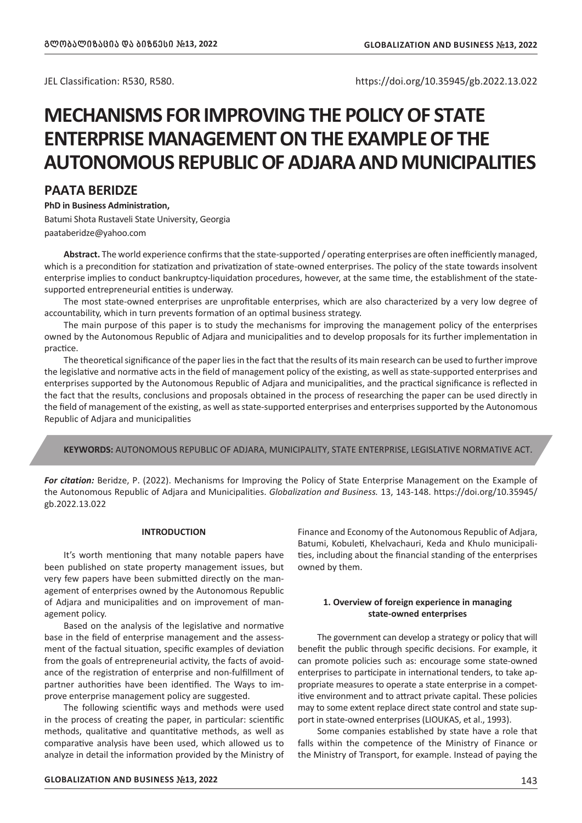JEL Classification: R530, R580. https://doi.org/10.35945/gb.2022.13.022

# **MECHANISMS FOR IMPROVING THE POLICY OF STATE ENTERPRISE MANAGEMENT ON THE EXAMPLE OF THE AUTONOMOUS REPUBLIC OF ADJARA AND MUNICIPALITIES**

# **PAATA BERIDZE**

**PhD in Business Administration,**

Batumi Shota Rustaveli State University, Georgia paataberidze@yahoo.com

**Abstract.** The world experience confirms that the state-supported / operating enterprises are often inefficiently managed, which is a precondition for statization and privatization of state-owned enterprises. The policy of the state towards insolvent enterprise implies to conduct bankruptcy-liquidation procedures, however, at the same time, the establishment of the statesupported entrepreneurial entities is underway.

The most state-owned enterprises are unprofitable enterprises, which are also characterized by a very low degree of accountability, which in turn prevents formation of an optimal business strategy.

The main purpose of this paper is to study the mechanisms for improving the management policy of the enterprises owned by the Autonomous Republic of Adjara and municipalities and to develop proposals for its further implementation in practice.

The theoretical significance of the paper lies in the fact that the results of its main research can be used to further improve the legislative and normative acts in the field of management policy of the existing, as well as state-supported enterprises and enterprises supported by the Autonomous Republic of Adjara and municipalities, and the practical significance is reflected in the fact that the results, conclusions and proposals obtained in the process of researching the paper can be used directly in the field of management of the existing, as well as state-supported enterprises and enterprises supported by the Autonomous Republic of Adjara and municipalities

**KEYWORDS:** AUTONOMOUS REPUBLIC OF ADJARA, MUNICIPALITY, STATE ENTERPRISE, LEGISLATIVE NORMATIVE ACT.

*For citation:* Beridze, P. (2022). Mechanisms for Improving the Policy of State Enterprise Management on the Example of the Autonomous Republic of Adjara and Municipalities. *Globalization and Business.* 13, 143-148. https://doi.org/10.35945/ gb.2022.13.022

#### **INTRODUCTION**

It's worth mentioning that many notable papers have been published on state property management issues, but very few papers have been submitted directly on the management of enterprises owned by the Autonomous Republic of Adjara and municipalities and on improvement of management policy.

Based on the analysis of the legislative and normative base in the field of enterprise management and the assessment of the factual situation, specific examples of deviation from the goals of entrepreneurial activity, the facts of avoidance of the registration of enterprise and non-fulfillment of partner authorities have been identified. The Ways to improve enterprise management policy are suggested.

The following scientific ways and methods were used in the process of creating the paper, in particular: scientific methods, qualitative and quantitative methods, as well as comparative analysis have been used, which allowed us to analyze in detail the information provided by the Ministry of Finance and Economy of the Autonomous Republic of Adjara, Batumi, Kobuleti, Khelvachauri, Keda and Khulo municipalities, including about the financial standing of the enterprises owned by them.

#### **1. Overview of foreign experience in managing state-owned enterprises**

The government can develop a strategy or policy that will benefit the public through specific decisions. For example, it can promote policies such as: encourage some state-owned enterprises to participate in international tenders, to take appropriate measures to operate a state enterprise in a competitive environment and to attract private capital. These policies may to some extent replace direct state control and state support in state-owned enterprises (LIOUKAS, et al., 1993).

Some companies established by state have a role that falls within the competence of the Ministry of Finance or the Ministry of Transport, for example. Instead of paying the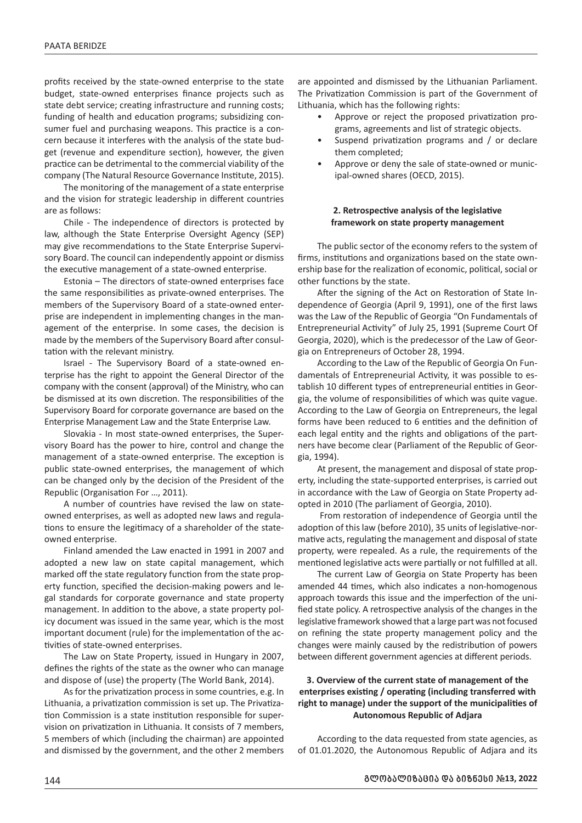profits received by the state-owned enterprise to the state budget, state-owned enterprises finance projects such as state debt service; creating infrastructure and running costs; funding of health and education programs; subsidizing consumer fuel and purchasing weapons. This practice is a concern because it interferes with the analysis of the state budget (revenue and expenditure section), however, the given practice can be detrimental to the commercial viability of the company (The Natural Resource Governance Institute, 2015).

The monitoring of the management of a state enterprise and the vision for strategic leadership in different countries are as follows:

Chile - The independence of directors is protected by law, although the State Enterprise Oversight Agency (SEP) may give recommendations to the State Enterprise Supervisory Board. The council can independently appoint or dismiss the executive management of a state-owned enterprise.

Estonia – The directors of state-owned enterprises face the same responsibilities as private-owned enterprises. The members of the Supervisory Board of a state-owned enterprise are independent in implementing changes in the management of the enterprise. In some cases, the decision is made by the members of the Supervisory Board after consultation with the relevant ministry.

Israel - The Supervisory Board of a state-owned enterprise has the right to appoint the General Director of the company with the consent (approval) of the Ministry, who can be dismissed at its own discretion. The responsibilities of the Supervisory Board for corporate governance are based on the Enterprise Management Law and the State Enterprise Law.

Slovakia - In most state-owned enterprises, the Supervisory Board has the power to hire, control and change the management of a state-owned enterprise. The exception is public state-owned enterprises, the management of which can be changed only by the decision of the President of the Republic (Organisation For …, 2011).

A number of countries have revised the law on stateowned enterprises, as well as adopted new laws and regulations to ensure the legitimacy of a shareholder of the stateowned enterprise.

Finland amended the Law enacted in 1991 in 2007 and adopted a new law on state capital management, which marked off the state regulatory function from the state property function, specified the decision-making powers and legal standards for corporate governance and state property management. In addition to the above, a state property policy document was issued in the same year, which is the most important document (rule) for the implementation of the activities of state-owned enterprises.

The Law on State Property, issued in Hungary in 2007, defines the rights of the state as the owner who can manage and dispose of (use) the property (The World Bank, 2014).

As for the privatization process in some countries, e.g. In Lithuania, a privatization commission is set up. The Privatization Commission is a state institution responsible for supervision on privatization in Lithuania. It consists of 7 members, 5 members of which (including the chairman) are appointed and dismissed by the government, and the other 2 members

are appointed and dismissed by the Lithuanian Parliament. The Privatization Commission is part of the Government of Lithuania, which has the following rights:

- Approve or reject the proposed privatization programs, agreements and list of strategic objects.
- Suspend privatization programs and / or declare them completed;
- Approve or deny the sale of state-owned or municipal-owned shares (OECD, 2015).

#### **2. Retrospective analysis of the legislative framework on state property management**

The public sector of the economy refers to the system of firms, institutions and organizations based on the state ownership base for the realization of economic, political, social or other functions by the state.

After the signing of the Act on Restoration of State Independence of Georgia (April 9, 1991), one of the first laws was the Law of the Republic of Georgia "On Fundamentals of Entrepreneurial Activity" of July 25, 1991 (Supreme Court Of Georgia, 2020), which is the predecessor of the Law of Georgia on Entrepreneurs of October 28, 1994.

According to the Law of the Republic of Georgia On Fundamentals of Entrepreneurial Activity, it was possible to establish 10 different types of entrepreneurial entities in Georgia, the volume of responsibilities of which was quite vague. According to the Law of Georgia on Entrepreneurs, the legal forms have been reduced to 6 entities and the definition of each legal entity and the rights and obligations of the partners have become clear (Parliament of the Republic of Georgia, 1994).

At present, the management and disposal of state property, including the state-supported enterprises, is carried out in accordance with the Law of Georgia on State Property adopted in 2010 (The parliament of Georgia, 2010).

 From restoration of independence of Georgia until the adoption of this law (before 2010), 35 units of legislative-normative acts, regulating the management and disposal of state property, were repealed. As a rule, the requirements of the mentioned legislative acts were partially or not fulfilled at all.

The current Law of Georgia on State Property has been amended 44 times, which also indicates a non-homogenous approach towards this issue and the imperfection of the unified state policy. A retrospective analysis of the changes in the legislative framework showed that a large part was not focused on refining the state property management policy and the changes were mainly caused by the redistribution of powers between different government agencies at different periods.

## **3. Overview of the current state of management of the enterprises existing / operating (including transferred with right to manage) under the support of the municipalities of Autonomous Republic of Adjara**

According to the data requested from state agencies, as of 01.01.2020, the Autonomous Republic of Adjara and its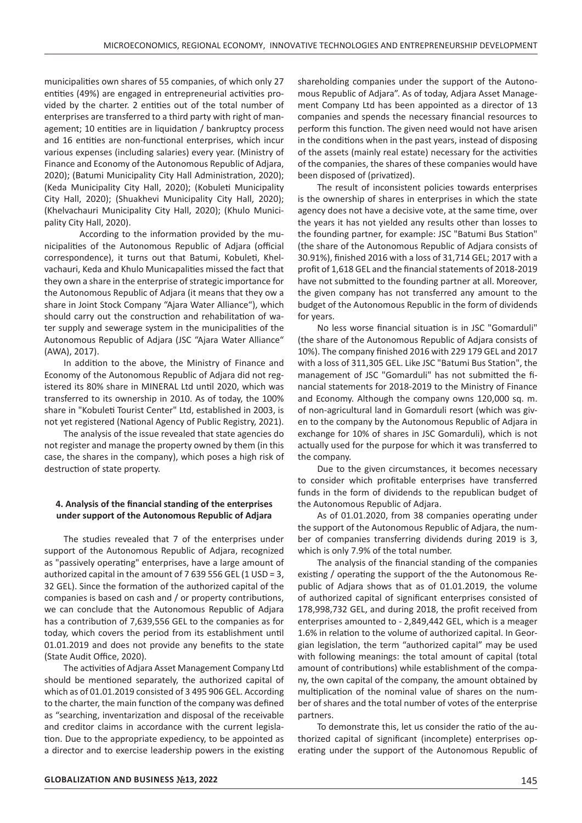municipalities own shares of 55 companies, of which only 27 entities (49%) are engaged in entrepreneurial activities provided by the charter. 2 entities out of the total number of enterprises are transferred to a third party with right of management; 10 entities are in liquidation / bankruptcy process and 16 entities are non-functional enterprises, which incur various expenses (including salaries) every year. (Ministry of Finance and Economy of the Autonomous Republic of Adjara, 2020); (Batumi Municipality City Hall Administration, 2020); (Keda Municipality City Hall, 2020); (Kobuleti Municipality City Hall, 2020); (Shuakhevi Municipality City Hall, 2020); (Khelvachauri Municipality City Hall, 2020); (Khulo Municipality City Hall, 2020).

According to the information provided by the municipalities of the Autonomous Republic of Adjara (official correspondence), it turns out that Batumi, Kobuleti, Khelvachauri, Keda and Khulo Municapalities missed the fact that they own a share in the enterprise of strategic importance for the Autonomous Republic of Adjara (it means that they ow a share in Joint Stock Company "Ajara Water Alliance"), which should carry out the construction and rehabilitation of water supply and sewerage system in the municipalities of the Autonomous Republic of Adjara (JSC "Ajara Water Alliance" (AWA), 2017).

In addition to the above, the Ministry of Finance and Economy of the Autonomous Republic of Adjara did not registered its 80% share in MINERAL Ltd until 2020, which was transferred to its ownership in 2010. As of today, the 100% share in "Kobuleti Tourist Center" Ltd, established in 2003, is not yet registered (National Agency of Public Registry, 2021).

The analysis of the issue revealed that state agencies do not register and manage the property owned by them (in this case, the shares in the company), which poses a high risk of destruction of state property.

### **4. Analysis of the financial standing of the enterprises under support of the Autonomous Republic of Adjara**

The studies revealed that 7 of the enterprises under support of the Autonomous Republic of Adjara, recognized as "passively operating" enterprises, have a large amount of authorized capital in the amount of 7 639 556 GEL (1 USD = 3, 32 GEL). Since the formation of the authorized capital of the companies is based on cash and / or property contributions, we can conclude that the Autonomous Republic of Adjara has a contribution of 7,639,556 GEL to the companies as for today, which covers the period from its establishment until 01.01.2019 and does not provide any benefits to the state (State Audit Office, 2020).

The activities of Adjara Asset Management Company Ltd should be mentioned separately, the authorized capital of which as of 01.01.2019 consisted of 3 495 906 GEL. According to the charter, the main function of the company was defined as "searching, inventarization and disposal of the receivable and creditor claims in accordance with the current legislation. Due to the appropriate expediency, to be appointed as a director and to exercise leadership powers in the existing

shareholding companies under the support of the Autonomous Republic of Adjara". As of today, Adjara Asset Management Company Ltd has been appointed as a director of 13 companies and spends the necessary financial resources to perform this function. The given need would not have arisen in the conditions when in the past years, instead of disposing of the assets (mainly real estate) necessary for the activities of the companies, the shares of these companies would have been disposed of (privatized).

The result of inconsistent policies towards enterprises is the ownership of shares in enterprises in which the state agency does not have a decisive vote, at the same time, over the years it has not yielded any results other than losses to the founding partner, for example: JSC "Batumi Bus Station" (the share of the Autonomous Republic of Adjara consists of 30.91%), finished 2016 with a loss of 31,714 GEL; 2017 with a profit of 1,618 GEL and the financial statements of 2018-2019 have not submitted to the founding partner at all. Moreover, the given company has not transferred any amount to the budget of the Autonomous Republic in the form of dividends for years.

No less worse financial situation is in JSC "Gomarduli" (the share of the Autonomous Republic of Adjara consists of 10%). The company finished 2016 with 229 179 GEL and 2017 with a loss of 311,305 GEL. Like JSC "Batumi Bus Station", the management of JSC "Gomarduli" has not submitted the financial statements for 2018-2019 to the Ministry of Finance and Economy. Although the company owns 120,000 sq. m. of non-agricultural land in Gomarduli resort (which was given to the company by the Autonomous Republic of Adjara in exchange for 10% of shares in JSC Gomarduli), which is not actually used for the purpose for which it was transferred to the company.

Due to the given circumstances, it becomes necessary to consider which profitable enterprises have transferred funds in the form of dividends to the republican budget of the Autonomous Republic of Adjara.

As of 01.01.2020, from 38 companies operating under the support of the Autonomous Republic of Adjara, the number of companies transferring dividends during 2019 is 3, which is only 7.9% of the total number.

The analysis of the financial standing of the companies existing / operating the support of the the Autonomous Republic of Adjara shows that as of 01.01.2019, the volume of authorized capital of significant enterprises consisted of 178,998,732 GEL, and during 2018, the profit received from enterprises amounted to - 2,849,442 GEL, which is a meager 1.6% in relation to the volume of authorized capital. In Georgian legislation, the term "authorized capital" may be used with following meanings: the total amount of capital (total amount of contributions) while establishment of the company, the own capital of the company, the amount obtained by multiplication of the nominal value of shares on the number of shares and the total number of votes of the enterprise partners.

To demonstrate this, let us consider the ratio of the authorized capital of significant (incomplete) enterprises operating under the support of the Autonomous Republic of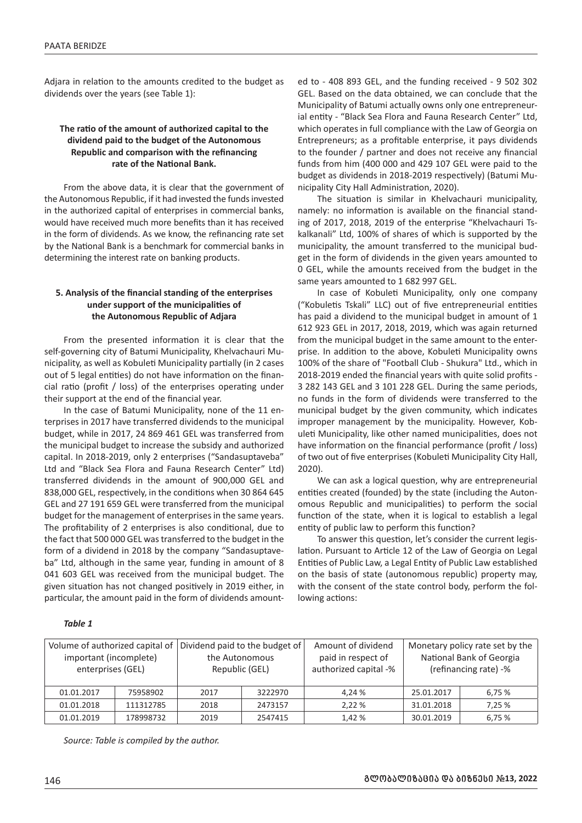Adjara in relation to the amounts credited to the budget as dividends over the years (see Table 1):

### **The ratio of the amount of authorized capital to the dividend paid to the budget of the Autonomous Republic and comparison with the refinancing rate of the National Bank.**

From the above data, it is clear that the government of the Autonomous Republic, if it had invested the funds invested in the authorized capital of enterprises in commercial banks, would have received much more benefits than it has received in the form of dividends. As we know, the refinancing rate set by the National Bank is a benchmark for commercial banks in determining the interest rate on banking products.

### **5. Analysis of the financial standing of the enterprises under support of the municipalities of the Autonomous Republic of Adjara**

From the presented information it is clear that the self-governing city of Batumi Municipality, Khelvachauri Municipality, as well as Kobuleti Municipality partially (in 2 cases out of 5 legal entities) do not have information on the financial ratio (profit / loss) of the enterprises operating under their support at the end of the financial year.

In the case of Batumi Municipality, none of the 11 enterprises in 2017 have transferred dividends to the municipal budget, while in 2017, 24 869 461 GEL was transferred from the municipal budget to increase the subsidy and authorized capital. In 2018-2019, only 2 enterprises ("Sandasuptaveba" Ltd and "Black Sea Flora and Fauna Research Center" Ltd) transferred dividends in the amount of 900,000 GEL and 838,000 GEL, respectively, in the conditions when 30 864 645 GEL and 27 191 659 GEL were transferred from the municipal budget for the management of enterprises in the same years. The profitability of 2 enterprises is also conditional, due to the fact that 500 000 GEL was transferred to the budget in the form of a dividend in 2018 by the company "Sandasuptaveba" Ltd, although in the same year, funding in amount of 8 041 603 GEL was received from the municipal budget. The given situation has not changed positively in 2019 either, in particular, the amount paid in the form of dividends amount-

ed to - 408 893 GEL, and the funding received - 9 502 302 GEL. Based on the data obtained, we can conclude that the Municipality of Batumi actually owns only one entrepreneurial entity - "Black Sea Flora and Fauna Research Center" Ltd, which operates in full compliance with the Law of Georgia on Entrepreneurs; as a profitable enterprise, it pays dividends to the founder / partner and does not receive any financial funds from him (400 000 and 429 107 GEL were paid to the budget as dividends in 2018-2019 respectively) (Batumi Municipality City Hall Administration, 2020).

The situation is similar in Khelvachauri municipality, namely: no information is available on the financial standing of 2017, 2018, 2019 of the enterprise "Khelvachauri Tskalkanali" Ltd, 100% of shares of which is supported by the municipality, the amount transferred to the municipal budget in the form of dividends in the given years amounted to 0 GEL, while the amounts received from the budget in the same years amounted to 1 682 997 GEL.

In case of Kobuleti Municipality, only one company ("Kobuletis Tskali" LLC) out of five entrepreneurial entities has paid a dividend to the municipal budget in amount of 1 612 923 GEL in 2017, 2018, 2019, which was again returned from the municipal budget in the same amount to the enterprise. In addition to the above, Kobuleti Municipality owns 100% of the share of "Football Club - Shukura" Ltd., which in 2018-2019 ended the financial years with quite solid profits - 3 282 143 GEL and 3 101 228 GEL. During the same periods, no funds in the form of dividends were transferred to the municipal budget by the given community, which indicates improper management by the municipality. However, Kobuleti Municipality, like other named municipalities, does not have information on the financial performance (profit / loss) of two out of five enterprises (Kobuleti Municipality City Hall, 2020).

We can ask a logical question, why are entrepreneurial entities created (founded) by the state (including the Autonomous Republic and municipalities) to perform the social function of the state, when it is logical to establish a legal entity of public law to perform this function?

To answer this question, let's consider the current legislation. Pursuant to Article 12 of the Law of Georgia on Legal Entities of Public Law, a Legal Entity of Public Law established on the basis of state (autonomous republic) property may, with the consent of the state control body, perform the following actions:

| Volume of authorized capital of<br>important (incomplete)<br>enterprises (GEL) |           | Dividend paid to the budget of<br>the Autonomous<br>Republic (GEL) |         | Amount of dividend<br>paid in respect of<br>authorized capital -% | Monetary policy rate set by the<br>National Bank of Georgia<br>(refinancing rate) -% |       |
|--------------------------------------------------------------------------------|-----------|--------------------------------------------------------------------|---------|-------------------------------------------------------------------|--------------------------------------------------------------------------------------|-------|
| 01.01.2017                                                                     | 75958902  | 2017                                                               | 3222970 | 4.24 %                                                            | 25.01.2017                                                                           | 6,75% |
| 01.01.2018                                                                     | 111312785 | 2018                                                               | 2473157 | 2.22%                                                             | 31.01.2018                                                                           | 7.25% |
| 01.01.2019                                                                     | 178998732 | 2019                                                               | 2547415 | 1.42 %                                                            | 30.01.2019                                                                           | 6.75% |

*Table 1*

*Source: Table is compiled by the author.*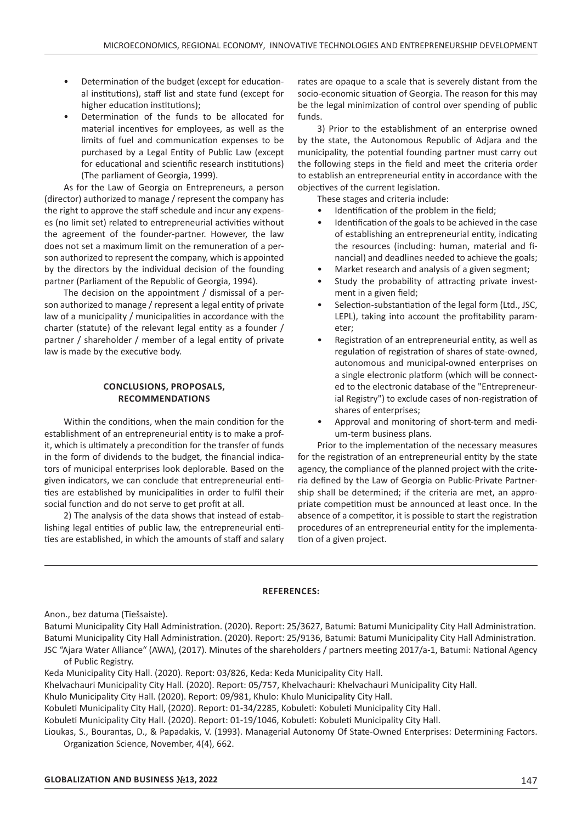- Determination of the budget (except for educational institutions), staff list and state fund (except for higher education institutions);
- Determination of the funds to be allocated for material incentives for employees, as well as the limits of fuel and communication expenses to be purchased by a Legal Entity of Public Law (except for educational and scientific research institutions) (The parliament of Georgia, 1999).

As for the Law of Georgia on Entrepreneurs, a person (director) authorized to manage / represent the company has the right to approve the staff schedule and incur any expenses (no limit set) related to entrepreneurial activities without the agreement of the founder-partner. However, the law does not set a maximum limit on the remuneration of a person authorized to represent the company, which is appointed by the directors by the individual decision of the founding partner (Parliament of the Republic of Georgia, 1994).

The decision on the appointment / dismissal of a person authorized to manage / represent a legal entity of private law of a municipality / municipalities in accordance with the charter (statute) of the relevant legal entity as a founder / partner / shareholder / member of a legal entity of private law is made by the executive body.

#### **CONCLUSIONS, PROPOSALS, RECOMMENDATIONS**

Within the conditions, when the main condition for the establishment of an entrepreneurial entity is to make a profit, which is ultimately a precondition for the transfer of funds in the form of dividends to the budget, the financial indicators of municipal enterprises look deplorable. Based on the given indicators, we can conclude that entrepreneurial entities are established by municipalities in order to fulfil their social function and do not serve to get profit at all.

2) The analysis of the data shows that instead of establishing legal entities of public law, the entrepreneurial entities are established, in which the amounts of staff and salary

rates are opaque to a scale that is severely distant from the socio-economic situation of Georgia. The reason for this may be the legal minimization of control over spending of public funds.

3) Prior to the establishment of an enterprise owned by the state, the Autonomous Republic of Adjara and the municipality, the potential founding partner must carry out the following steps in the field and meet the criteria order to establish an entrepreneurial entity in accordance with the objectives of the current legislation.

These stages and criteria include:

- Identification of the problem in the field;
- Identification of the goals to be achieved in the case of establishing an entrepreneurial entity, indicating the resources (including: human, material and financial) and deadlines needed to achieve the goals;
- Market research and analysis of a given segment;
- Study the probability of attracting private investment in a given field;
- Selection-substantiation of the legal form (Ltd., JSC, LEPL), taking into account the profitability parameter;
- Registration of an entrepreneurial entity, as well as regulation of registration of shares of state-owned, autonomous and municipal-owned enterprises on a single electronic platform (which will be connected to the electronic database of the "Entrepreneurial Registry") to exclude cases of non-registration of shares of enterprises;
- Approval and monitoring of short-term and medium-term business plans.

Prior to the implementation of the necessary measures for the registration of an entrepreneurial entity by the state agency, the compliance of the planned project with the criteria defined by the Law of Georgia on Public-Private Partnership shall be determined; if the criteria are met, an appropriate competition must be announced at least once. In the absence of a competitor, it is possible to start the registration procedures of an entrepreneurial entity for the implementation of a given project.

#### **REFERENCES:**

Anon., bez datuma (Tiešsaiste).

Batumi Municipality City Hall Administration. (2020). Report: 25/3627, Batumi: Batumi Municipality City Hall Administration. Batumi Municipality City Hall Administration. (2020). Report: 25/9136, Batumi: Batumi Municipality City Hall Administration. JSC "Ajara Water Alliance" (AWA), (2017). Minutes of the shareholders / partners meeting 2017/a-1, Batumi: National Agency of Public Registry.

Keda Municipality City Hall. (2020). Report: 03/826, Keda: Keda Municipality City Hall.

Khelvachauri Municipality City Hall. (2020). Report: 05/757, Khelvachauri: Khelvachauri Municipality City Hall.

Khulo Municipality City Hall. (2020). Report: 09/981, Khulo: Khulo Municipality City Hall.

Kobuleti Municipality City Hall, (2020). Report: 01-34/2285, Kobuleti: Kobuleti Municipality City Hall.

Kobuleti Municipality City Hall. (2020). Report: 01-19/1046, Kobuleti: Kobuleti Municipality City Hall.

Lioukas, S., Bourantas, D., & Papadakis, V. (1993). Managerial Autonomy Of State-Owned Enterprises: Determining Factors. Organization Science, November, 4(4), 662.